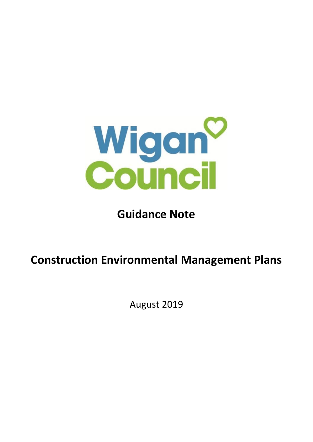

# **Guidance Note**

# **Construction Environmental Management Plans**

August 2019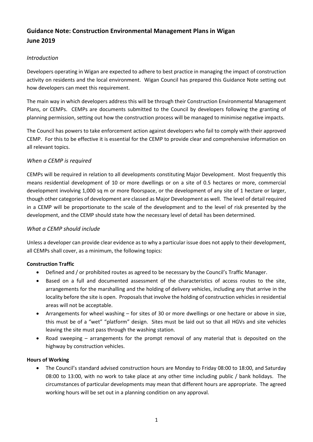# **Guidance Note: Construction Environmental Management Plans in Wigan June 2019**

# *Introduction*

Developers operating in Wigan are expected to adhere to best practice in managing the impact of construction activity on residents and the local environment. Wigan Council has prepared this Guidance Note setting out how developers can meet this requirement.

The main way in which developers address this will be through their Construction Environmental Management Plans, or CEMPs. CEMPs are documents submitted to the Council by developers following the granting of planning permission, setting out how the construction process will be managed to minimise negative impacts.

The Council has powers to take enforcement action against developers who fail to comply with their approved CEMP. For this to be effective it is essential for the CEMP to provide clear and comprehensive information on all relevant topics.

# *When a CEMP is required*

CEMPs will be required in relation to all developments constituting Major Development. Most frequently this means residential development of 10 or more dwellings or on a site of 0.5 hectares or more, commercial development involving 1,000 sq m or more floorspace, or the development of any site of 1 hectare or larger, though other categories of development are classed as Major Development as well. The level of detail required in a CEMP will be proportionate to the scale of the development and to the level of risk presented by the development, and the CEMP should state how the necessary level of detail has been determined.

# *What a CEMP should include*

Unless a developer can provide clear evidence as to why a particular issue does not apply to their development, all CEMPs shall cover, as a minimum, the following topics:

# **Construction Traffic**

- Defined and / or prohibited routes as agreed to be necessary by the Council's Traffic Manager.
- Based on a full and documented assessment of the characteristics of access routes to the site, arrangements for the marshalling and the holding of delivery vehicles, including any that arrive in the locality before the site is open. Proposals that involve the holding of construction vehicles in residential areas will not be acceptable.
- Arrangements for wheel washing for sites of 30 or more dwellings or one hectare or above in size, this must be of a "wet" "platform" design. Sites must be laid out so that all HGVs and site vehicles leaving the site must pass through the washing station.
- Road sweeping arrangements for the prompt removal of any material that is deposited on the highway by construction vehicles.

# **Hours of Working**

• The Council's standard advised construction hours are Monday to Friday 08:00 to 18:00, and Saturday 08:00 to 13:00, with no work to take place at any other time including public / bank holidays. The circumstances of particular developments may mean that different hours are appropriate. The agreed working hours will be set out in a planning condition on any approval.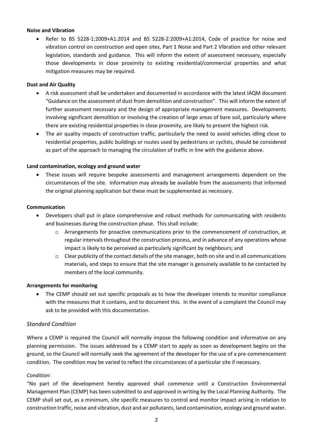#### **Noise and Vibration**

• Refer to BS 5228-1:2009+A1:2014 and BS 5228-2:2009+A1:2014, Code of practice for noise and vibration control on construction and open sites, Part 1 Noise and Part 2 Vibration and other relevant legislation, standards and guidance. This will inform the extent of assessment necessary, especially those developments in close proximity to existing residential/commercial properties and what mitigation measures may be required.

#### **Dust and Air Quality**

- A risk assessment shall be undertaken and documented in accordance with the latest IAQM document "Guidance on the assessment of dust from demolition and construction". This will inform the extent of further assessment necessary and the design of appropriate management measures. Developments involving significant demolition or involving the creation of large areas of bare soil, particularly where there are existing residential properties in close proximity, are likely to present the highest risk.
- The air quality impacts of construction traffic, particularly the need to avoid vehicles idling close to residential properties, public buildings or routes used by pedestrians or cyclists, should be considered as part of the approach to managing the circulation of traffic in line with the guidance above.

#### **Land contamination, ecology and ground water**

• These issues will require bespoke assessments and management arrangements dependent on the circumstances of the site. Information may already be available from the assessments that informed the original planning application but these must be supplemented as necessary.

#### **Communication**

- Developers shall put in place comprehensive and robust methods for communicating with residents and businesses during the construction phase. This shall include:
	- o Arrangements for proactive communications prior to the commencement of construction, at regular intervals throughout the construction process, and in advance of any operations whose impact is likely to be perceived as particularly significant by neighbours; and
	- $\circ$  Clear publicity of the contact details of the site manager, both on site and in all communications materials, and steps to ensure that the site manager is genuinely available to be contacted by members of the local community.

#### **Arrangements for monitoring**

• The CEMP should set out specific proposals as to how the developer intends to monitor compliance with the measures that it contains, and to document this. In the event of a complaint the Council may ask to be provided with this documentation.

# *Standard Condition*

Where a CEMP is required the Council will normally impose the following condition and informative on any planning permission. The issues addressed by a CEMP start to apply as soon as development begins on the ground, so the Council will normally seek the agreement of the developer for the use of a pre-commencement condition. The condition may be varied to reflect the circumstances of a particular site if necessary.

#### *Condition:*

"No part of the development hereby approved shall commence until a Construction Environmental Management Plan (CEMP) has been submitted to and approved in writing by the Local Planning Authority. The CEMP shall set out, as a minimum, site specific measures to control and monitor impact arising in relation to construction traffic, noise and vibration, dust and air pollutants, land contamination, ecology and ground water.